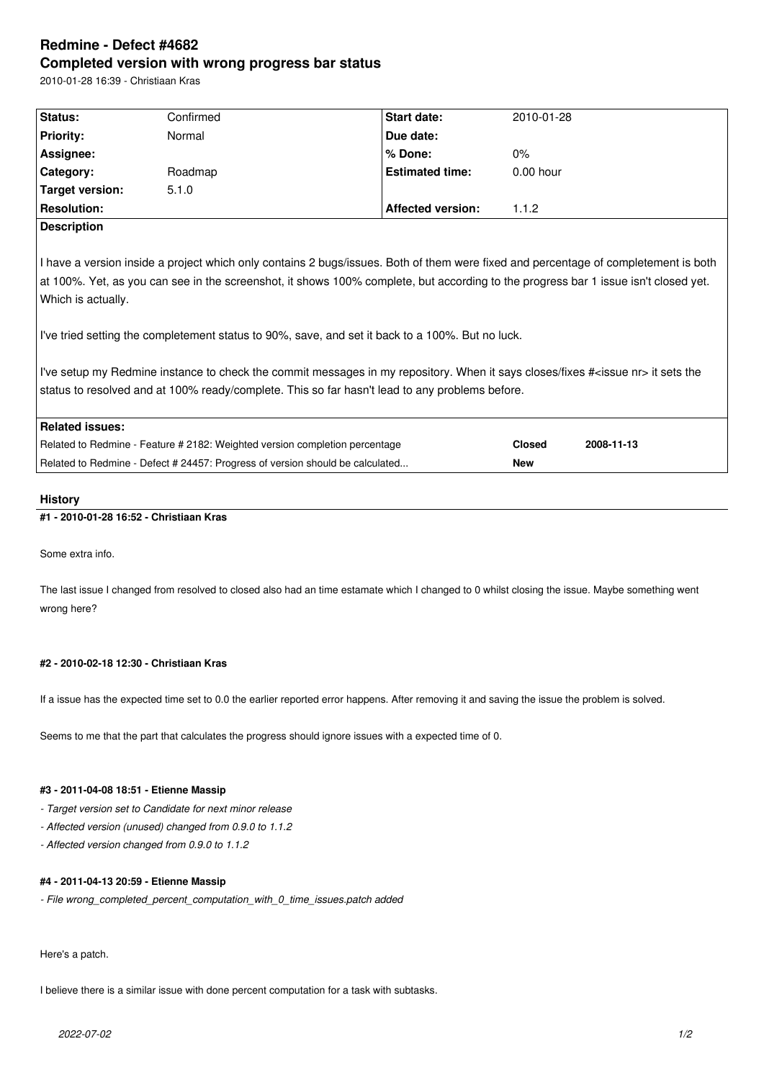# **Redmine - Defect #4682 Completed version with wrong progress bar status**

2010-01-28 16:39 - Christiaan Kras

| Status:                                                                                                                                                                                                                                                                                                                                                                                                                                                                                                                                                                                                                                                                           | Confirmed | Start date:              | 2010-01-28    |            |  |
|-----------------------------------------------------------------------------------------------------------------------------------------------------------------------------------------------------------------------------------------------------------------------------------------------------------------------------------------------------------------------------------------------------------------------------------------------------------------------------------------------------------------------------------------------------------------------------------------------------------------------------------------------------------------------------------|-----------|--------------------------|---------------|------------|--|
| <b>Priority:</b>                                                                                                                                                                                                                                                                                                                                                                                                                                                                                                                                                                                                                                                                  | Normal    | Due date:                |               |            |  |
| Assignee:                                                                                                                                                                                                                                                                                                                                                                                                                                                                                                                                                                                                                                                                         |           | % Done:                  | $0\%$         |            |  |
| Category:                                                                                                                                                                                                                                                                                                                                                                                                                                                                                                                                                                                                                                                                         | Roadmap   | <b>Estimated time:</b>   | $0.00$ hour   |            |  |
| Target version:                                                                                                                                                                                                                                                                                                                                                                                                                                                                                                                                                                                                                                                                   | 5.1.0     |                          |               |            |  |
| <b>Resolution:</b>                                                                                                                                                                                                                                                                                                                                                                                                                                                                                                                                                                                                                                                                |           | <b>Affected version:</b> | 1.1.2         |            |  |
| <b>Description</b>                                                                                                                                                                                                                                                                                                                                                                                                                                                                                                                                                                                                                                                                |           |                          |               |            |  |
| I have a version inside a project which only contains 2 bugs/issues. Both of them were fixed and percentage of completement is both<br>at 100%. Yet, as you can see in the screenshot, it shows 100% complete, but according to the progress bar 1 issue isn't closed yet.<br>Which is actually.<br>I've tried setting the completement status to 90%, save, and set it back to a 100%. But no luck.<br>I've setup my Redmine instance to check the commit messages in my repository. When it says closes/fixes # <issue nr=""> it sets the<br/>status to resolved and at 100% ready/complete. This so far hasn't lead to any problems before.<br/><b>Related issues:</b></issue> |           |                          |               |            |  |
|                                                                                                                                                                                                                                                                                                                                                                                                                                                                                                                                                                                                                                                                                   |           |                          | <b>Closed</b> | 2008-11-13 |  |
| Related to Redmine - Feature # 2182: Weighted version completion percentage                                                                                                                                                                                                                                                                                                                                                                                                                                                                                                                                                                                                       |           |                          |               |            |  |
| Related to Redmine - Defect # 24457: Progress of version should be calculated                                                                                                                                                                                                                                                                                                                                                                                                                                                                                                                                                                                                     |           |                          | <b>New</b>    |            |  |

## **History**

## **#1 - 2010-01-28 16:52 - Christiaan Kras**

Some extra info.

The last issue I changed from resolved to closed also had an time estamate which I changed to 0 whilst closing the issue. Maybe something went wrong here?

## **#2 - 2010-02-18 12:30 - Christiaan Kras**

If a issue has the expected time set to 0.0 the earlier reported error happens. After removing it and saving the issue the problem is solved.

Seems to me that the part that calculates the progress should ignore issues with a expected time of 0.

## **#3 - 2011-04-08 18:51 - Etienne Massip**

*- Target version set to Candidate for next minor release*

*- Affected version (unused) changed from 0.9.0 to 1.1.2*

*- Affected version changed from 0.9.0 to 1.1.2*

### **#4 - 2011-04-13 20:59 - Etienne Massip**

*- File wrong\_completed\_percent\_computation\_with\_0\_time\_issues.patch added*

Here's a patch.

I believe there is a similar issue with done percent computation for a task with subtasks.